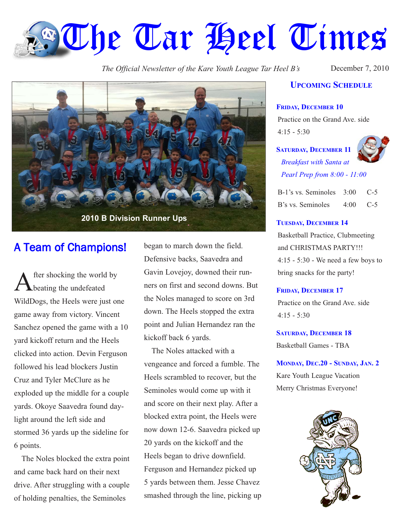# **The Tar Heel Times**

*The Official Newsletter of the Kare Youth League Tar Heel B's* December 7, 2010



## A Team of Champions!

After shocking the world by<br>beating the undefeated WildDogs, the Heels were just one game away from victory. Vincent Sanchez opened the game with a 10 yard kickoff return and the Heels clicked into action. Devin Ferguson followed his lead blockers Justin Cruz and Tyler McClure as he exploded up the middle for a couple yards. Okoye Saavedra found daylight around the left side and stormed 36 yards up the sideline for 6 points.

The Noles blocked the extra point and came back hard on their next drive. After struggling with a couple of holding penalties, the Seminoles

began to march down the field. Defensive backs, Saavedra and Gavin Lovejoy, downed their runners on first and second downs. But the Noles managed to score on 3rd down. The Heels stopped the extra point and Julian Hernandez ran the kickoff back 6 yards.

The Noles attacked with a vengeance and forced a fumble. The Heels scrambled to recover, but the Seminoles would come up with it and score on their next play. After a blocked extra point, the Heels were now down 12-6. Saavedra picked up 20 yards on the kickoff and the Heels began to drive downfield. Ferguson and Hernandez picked up 5 yards between them. Jesse Chavez smashed through the line, picking up

### **UPCOMING SCHEDULE**

#### **FRIDAY, DECEMBER 10**

Practice on the Grand Ave. side  $4:15 - 5:30$ 

**SATURDAY, DECEMBER 11** *Breakfast with Santa at*



*Pearl Prep from 8:00 - 11:00*

| B-1's vs. Seminoles 3:00 C-5 |            |  |
|------------------------------|------------|--|
| B's vs. Seminoles            | $4:00$ C-5 |  |

#### **TUESDAY, DECEMBER 14**

Basketball Practice, Clubmeeting and CHRISTMAS PARTY!!! 4:15 - 5:30 - We need a few boys to bring snacks for the party!

#### **FRIDAY, DECEMBER 17**

Practice on the Grand Ave. side 4:15 - 5:30

#### **SATURDAY, DECEMBER 18**

Basketball Games - TBA

**MONDAY, DEC.20 - SUNDAY, JAN. 2** Kare Youth League Vacation Merry Christmas Everyone!